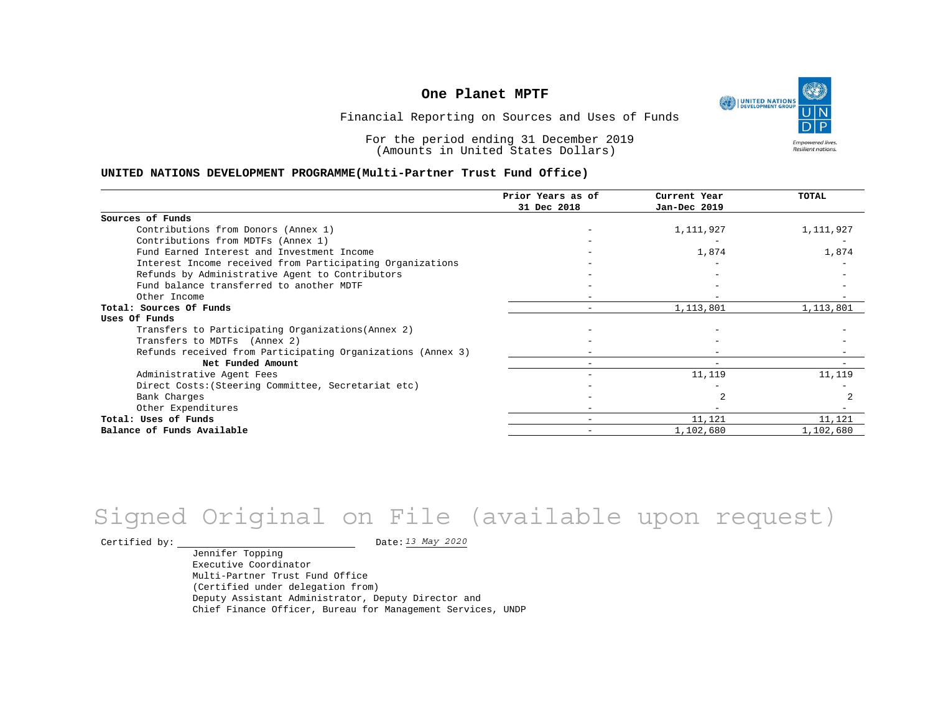UNITED NATIONS **Empowered lives** Resilient nations.

Financial Reporting on Sources and Uses of Funds

For the period ending 31 December 2019 (Amounts in United States Dollars)

#### **UNITED NATIONS DEVELOPMENT PROGRAMME(Multi-Partner Trust Fund Office)**

|                                                             | Prior Years as of | Current Year             | TOTAL     |
|-------------------------------------------------------------|-------------------|--------------------------|-----------|
|                                                             | 31 Dec 2018       | Jan-Dec 2019             |           |
| Sources of Funds                                            |                   |                          |           |
| Contributions from Donors (Annex 1)                         |                   | 1,111,927                | 1,111,927 |
| Contributions from MDTFs (Annex 1)                          |                   |                          |           |
| Fund Earned Interest and Investment Income                  |                   | 1,874                    | 1,874     |
| Interest Income received from Participating Organizations   |                   |                          |           |
| Refunds by Administrative Agent to Contributors             |                   |                          |           |
| Fund balance transferred to another MDTF                    |                   |                          |           |
| Other Income                                                |                   |                          |           |
| Total: Sources Of Funds                                     |                   | 1,113,801                | 1,113,801 |
| Uses Of Funds                                               |                   |                          |           |
| Transfers to Participating Organizations (Annex 2)          |                   |                          |           |
| Transfers to MDTFs (Annex 2)                                |                   |                          |           |
| Refunds received from Participating Organizations (Annex 3) |                   |                          |           |
| Net Funded Amount                                           |                   | $\overline{\phantom{m}}$ |           |
| Administrative Agent Fees                                   |                   | 11,119                   | 11,119    |
| Direct Costs: (Steering Committee, Secretariat etc)         |                   |                          |           |
| Bank Charges                                                |                   |                          |           |
| Other Expenditures                                          |                   |                          |           |
| Total: Uses of Funds                                        |                   | 11,121                   | 11,121    |
| Balance of Funds Available                                  |                   | 1,102,680                | 1,102,680 |

# *13 May 2020* Signed Original on File (available upon request)

Certified by:  $\frac{D \text{ at } 2020}{D \text{ at } 2020}$ 

Jennifer Topping Executive Coordinator Multi-Partner Trust Fund Office (Certified under delegation from) Deputy Assistant Administrator, Deputy Director and Chief Finance Officer, Bureau for Management Services, UNDP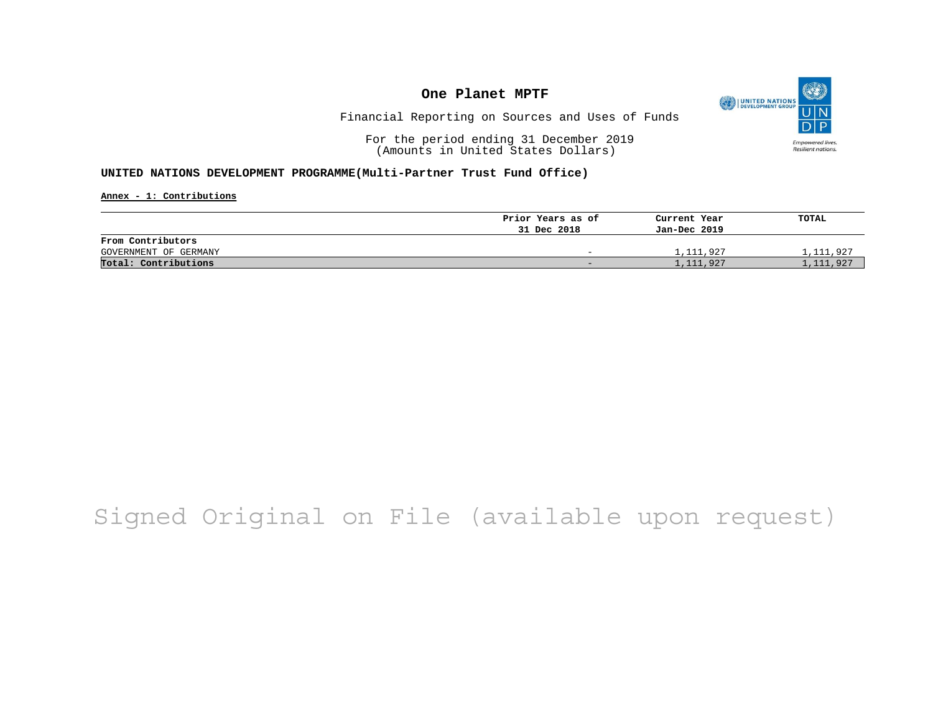

Financial Reporting on Sources and Uses of Funds

For the period ending 31 December 2019 (Amounts in United States Dollars)

#### **UNITED NATIONS DEVELOPMENT PROGRAMME(Multi-Partner Trust Fund Office)**

**Annex - 1: Contributions**

|                       | Prior Years as of | Current Year | TOTAL     |
|-----------------------|-------------------|--------------|-----------|
|                       | 31 Dec 2018       | Jan-Dec 2019 |           |
| From Contributors     |                   |              |           |
| GOVERNMENT OF GERMANY | -                 | 1,111,927    | 1,111,927 |
| Total: Contributions  | -                 | 1,111,927    | 1,111,927 |

# Signed Original on File (available upon request)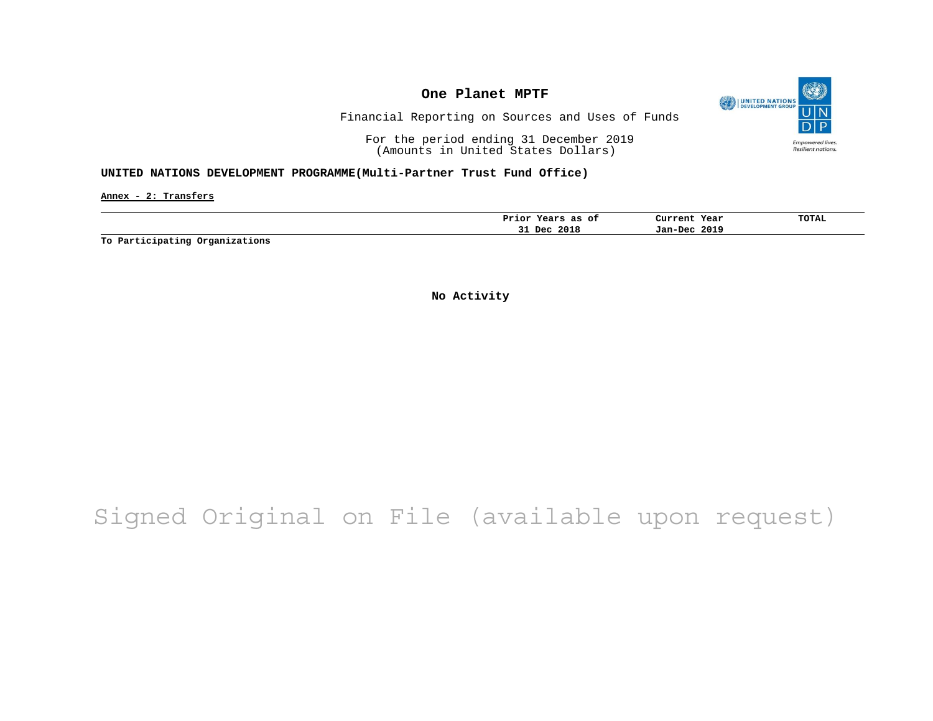

Financial Reporting on Sources and Uses of Funds

For the period ending 31 December 2019 (Amounts in United States Dollars)

#### **UNITED NATIONS DEVELOPMENT PROGRAMME(Multi-Partner Trust Fund Office)**

**Annex - 2: Transfers**

|     | Prior Years as<br>оf | Current Year    | TOTAL |
|-----|----------------------|-----------------|-------|
| ـــ | 2018<br>Dec          | 2019<br>Jan-Dec |       |

**To Participating Organizations**

**No Activity**

# Signed Original on File (available upon request)